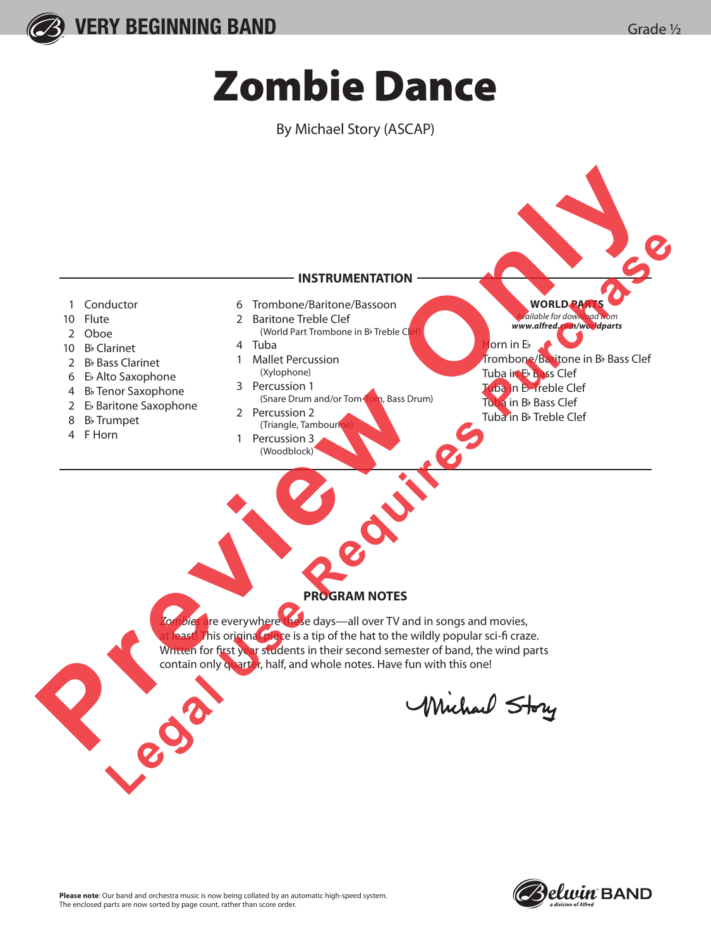

**VERY BEGINNING BAND**

## Zombie Dance

By Michael Story (ASCAP)

**INSTRUMENTATION**

- 1 Conductor
- 10 Flute
- 2 Oboe
- 10 Bb Clarinet
- 2 Bb Bass Clarinet
- 6 Eb Alto Saxophone
- 4 Bb Tenor Saxophone
- 2 Eb Baritone Saxophone
- 8 Bb Trumpet
- 4 F Horn
- 6 Trombone/Baritone/Bassoon
- 2 Baritone Treble Clef
- (World Part Trombone in  $B$ <sup>b</sup> Treble Cl 4 Tuba
- 
- 1 Mallet Percussion (Xylophone)
- 3 Percussion 1
- (Snare Drum and/or Tom-Tom, Bass Drum) 2 Percussion 2
- (Triangle, Tambourl
- 1 Percussion 3 (Woodblock)

**WORLD PARTS** *Available for download from*

*www.alfred.com/worldparts*

Horn in Eb Trombone/Baritone in B<sub>b</sub> Bass Clef Tuba in Eb Bass Clef Tuba in Eb Treble Clef Tuba in B<sub>b</sub> Bass Clef Tuba in B<sub>b</sub> Treble Clef

## **PROGRAM NOTES**

*<i>Die***s a**re everywhere these days—all over TV and in songs and movies, **Past!** This original piece is a tip of the hat to the wildly popular sci-fi craze. Written for first year students in their second semester of band, the wind parts contain only quarter, half, and whole notes. Have fun with this one! **Prediction**<br>
Preview Construction<br>
Preview Only of the Construction<br>
Preview Only of the Construction<br>
Preview Only of the Construction<br>
Preview Only of the Construction<br>
Preview Only of the Construction<br>
Preview Only of **Legal Use Representation of the Contained School Technique Contained School Technique in the Base Clere Representation of the Contained School Technique in the Base Clere Representation of the Contained School Technique i** 

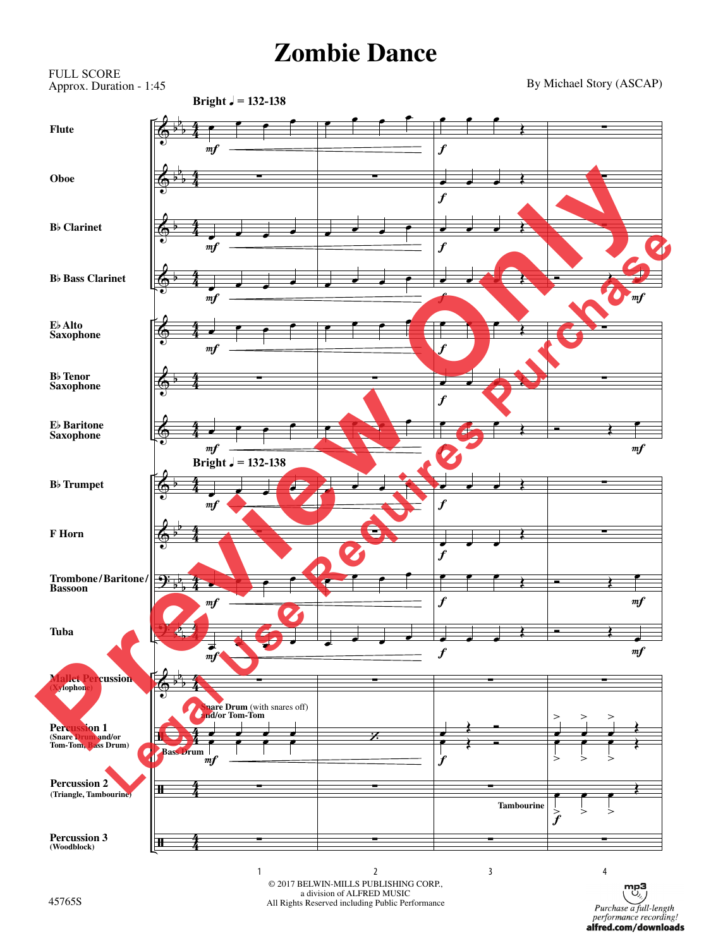## **Zombie Dance**

FULL SCORE Approx. Duration - 1:45

By Michael Story (ASCAP)



a division of ALFRED MUSIC All Rights Reserved including Public Performance

mp3<br>( ၂ Purchase a full-length<br>performance recording!<br>**alfred.com/downloads**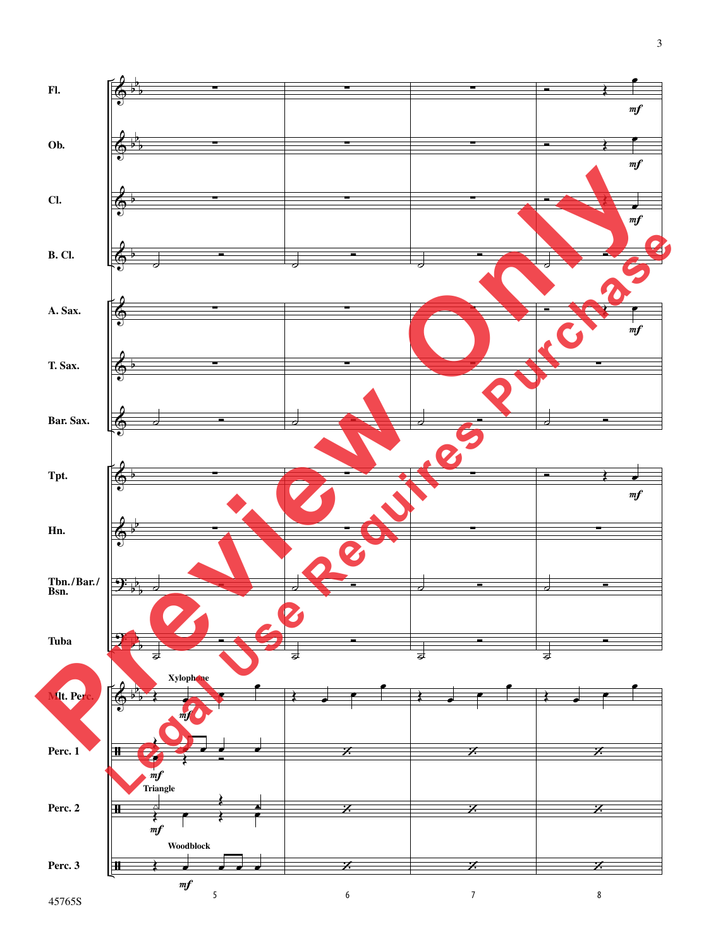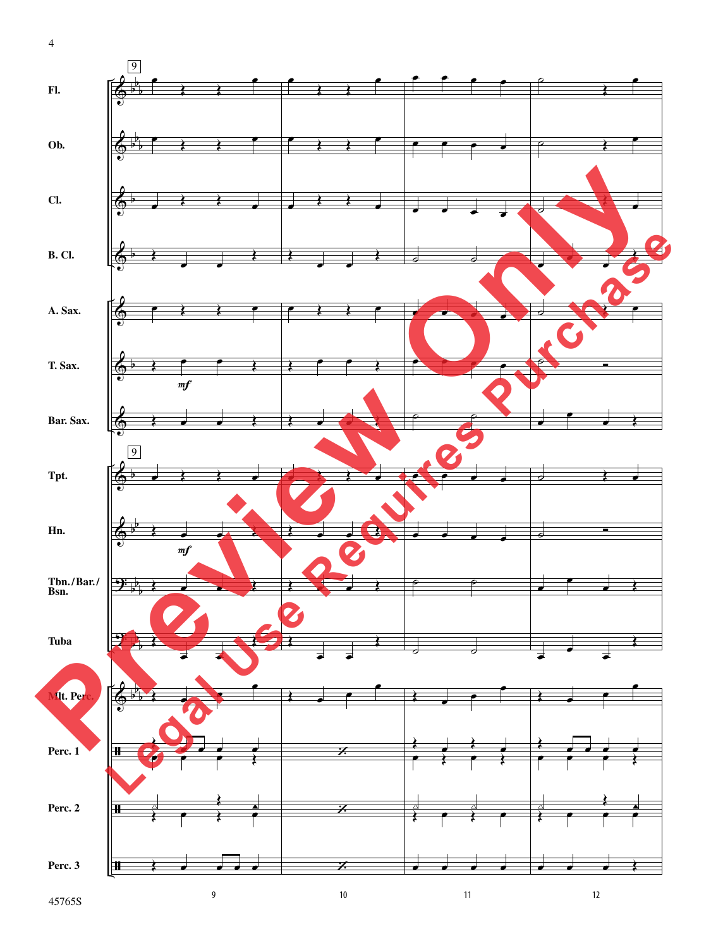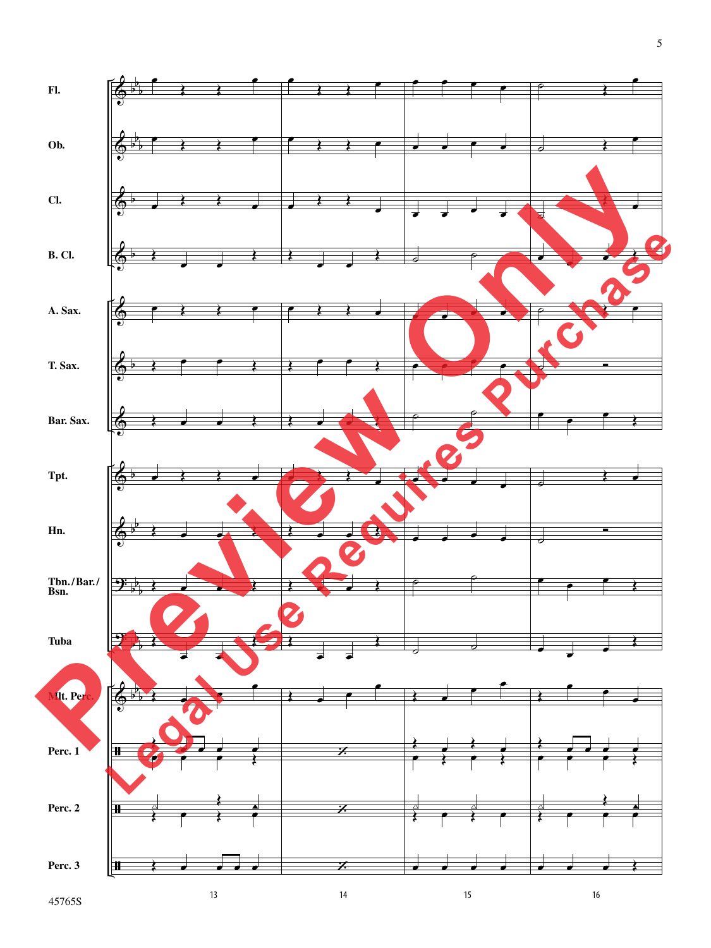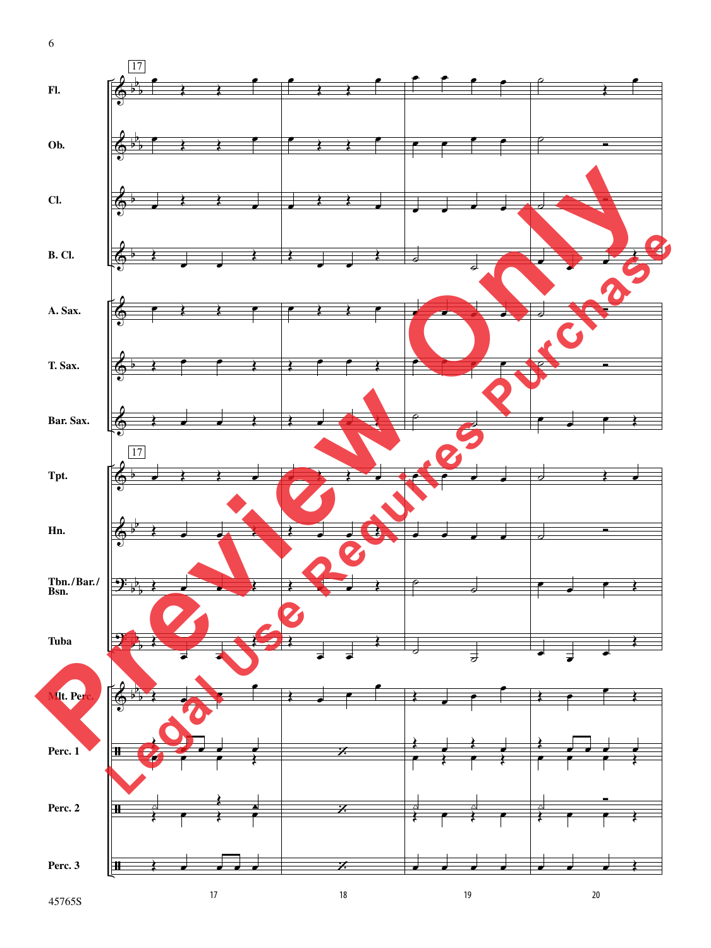

45765S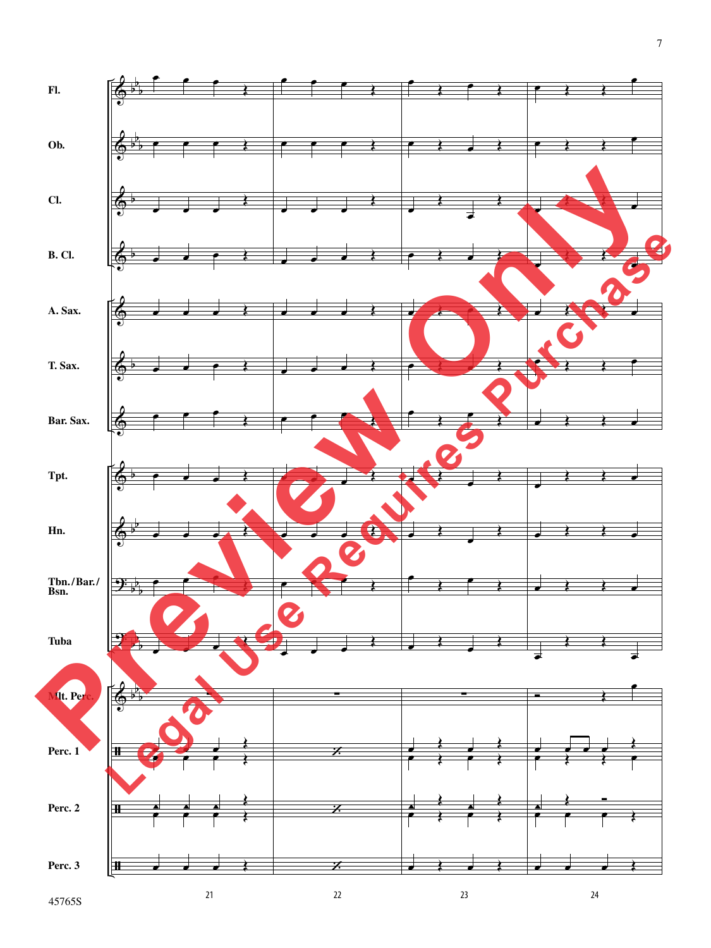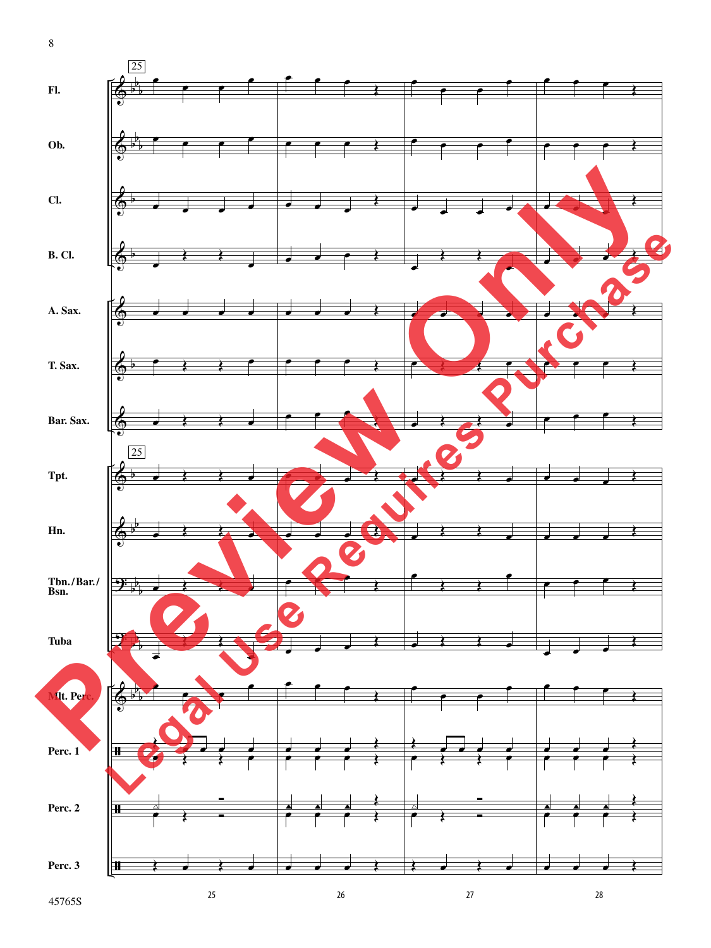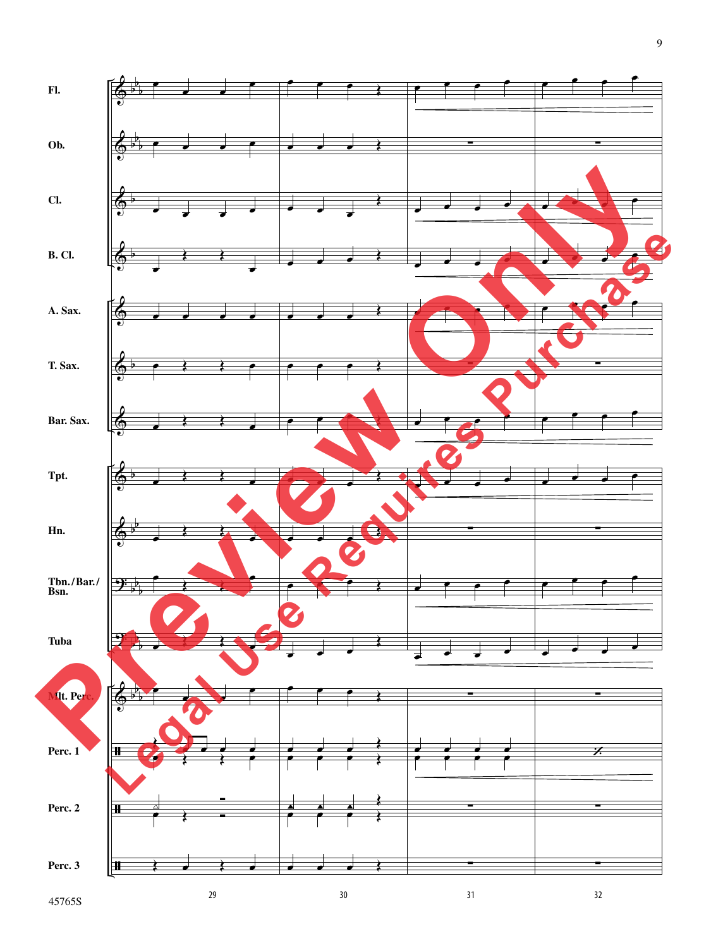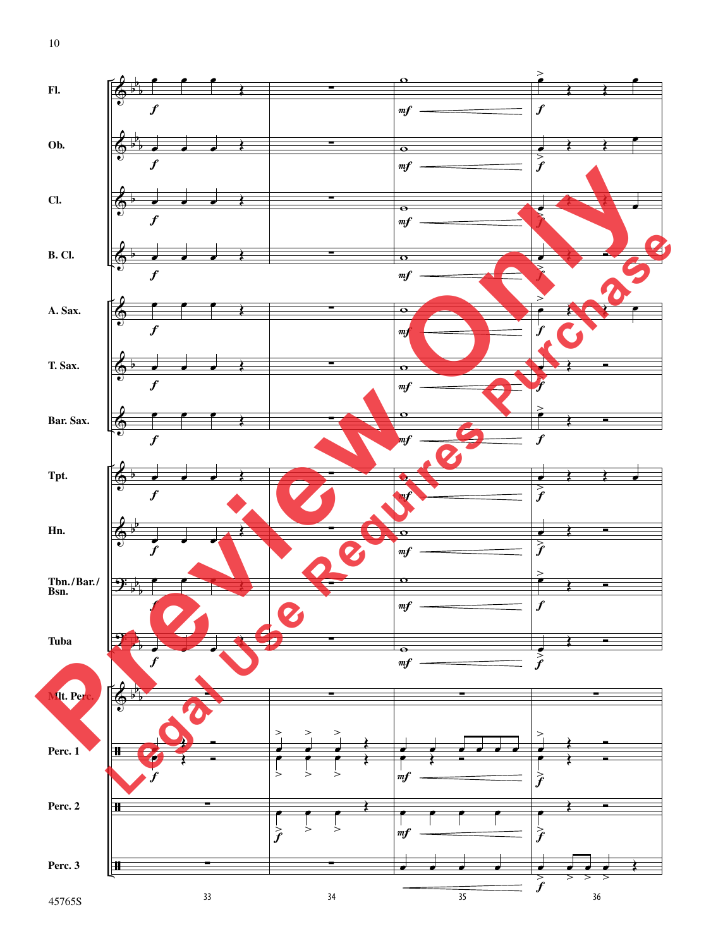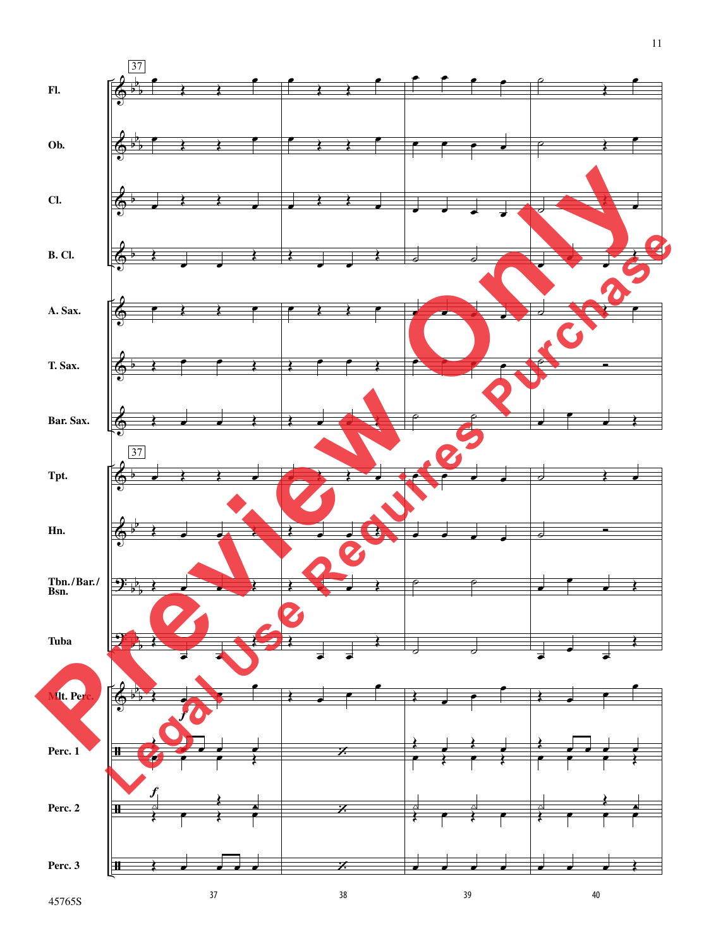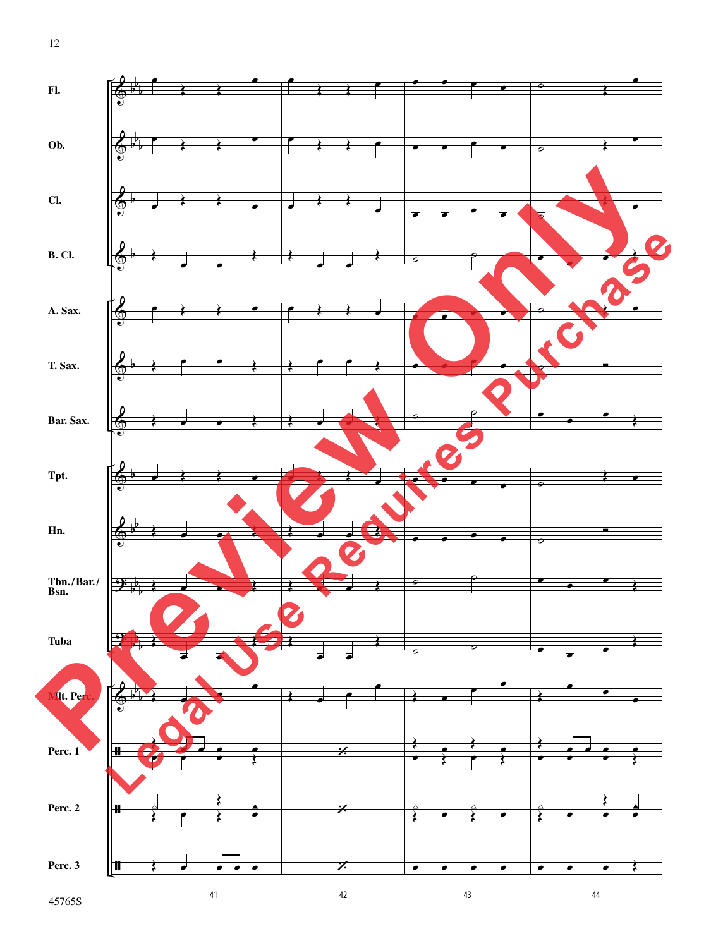



œ

œ

œ

 $\Box$ 

œ

œ

œ

œ

œ

œ

˙

œ

˙

 $\overline{\phantom{0}}$ 

˙

œ

œ

Œ

Œ

Œ

œ

œ

œ

œ

Œ

œ

œ





45765S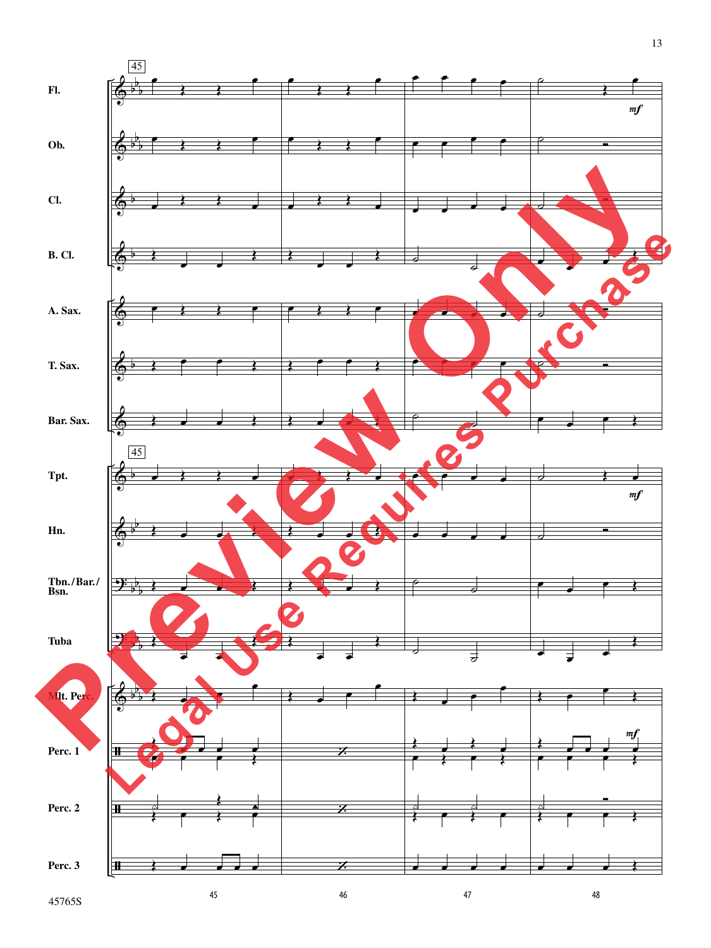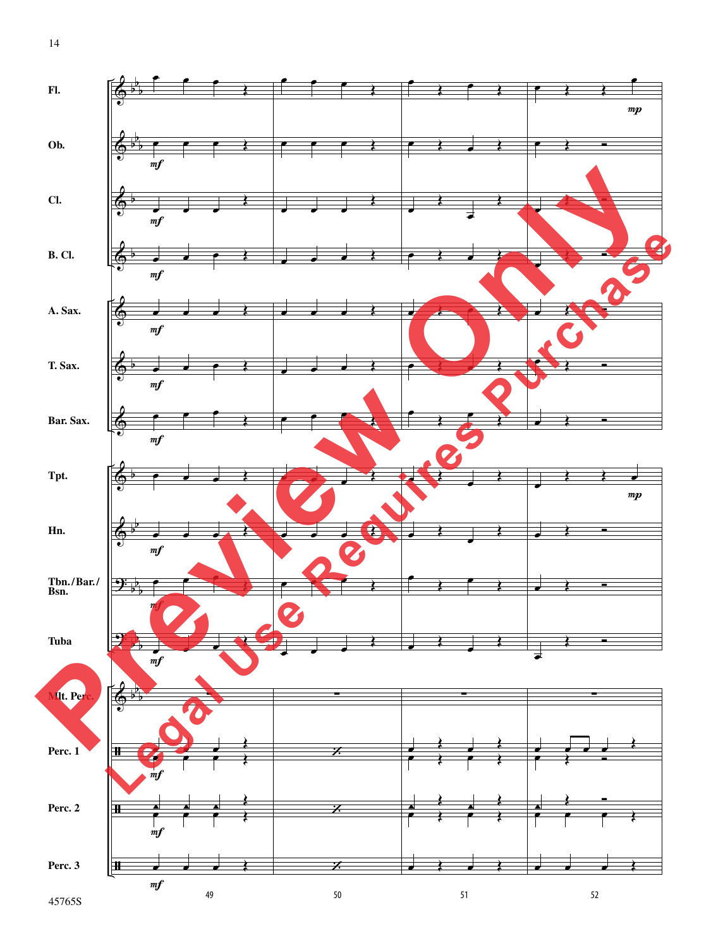

45765S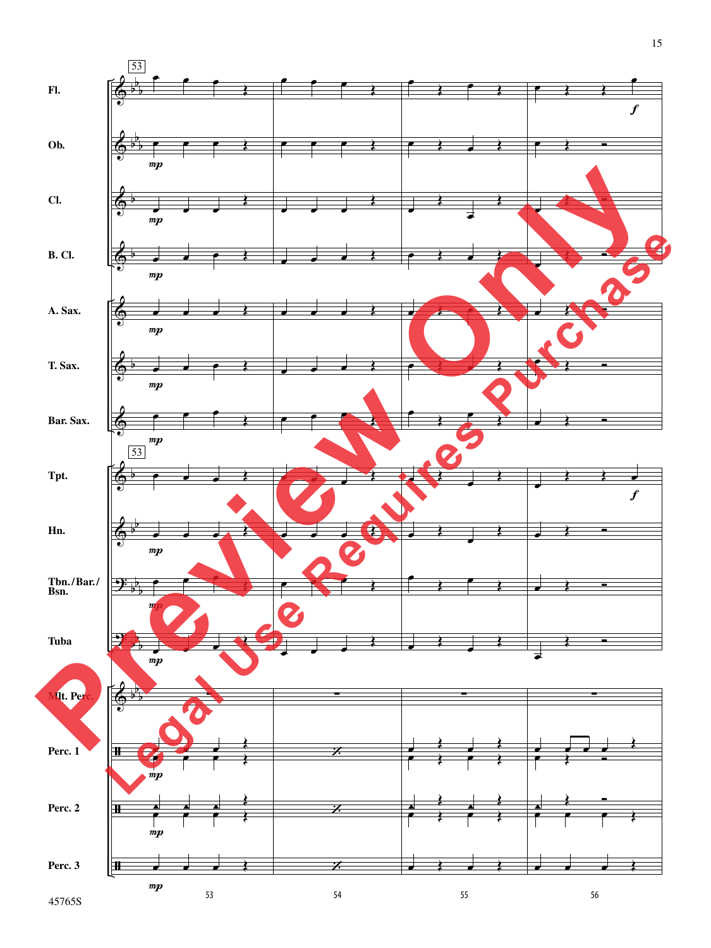